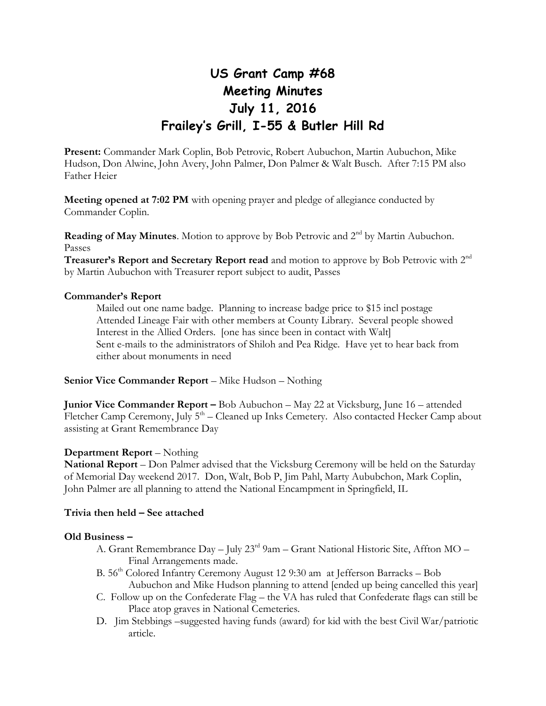# **US Grant Camp #68 Meeting Minutes July 11, 2016 Frailey's Grill, I-55 & Butler Hill Rd**

**Present:** Commander Mark Coplin, Bob Petrovic, Robert Aubuchon, Martin Aubuchon, Mike Hudson, Don Alwine, John Avery, John Palmer, Don Palmer & Walt Busch. After 7:15 PM also Father Heier

**Meeting opened at 7:02 PM** with opening prayer and pledge of allegiance conducted by Commander Coplin.

**Reading of May Minutes**. Motion to approve by Bob Petrovic and 2<sup>nd</sup> by Martin Aubuchon. Passes

**Treasurer's Report and Secretary Report read** and motion to approve by Bob Petrovic with 2nd by Martin Aubuchon with Treasurer report subject to audit, Passes

#### **Commander's Report**

Mailed out one name badge. Planning to increase badge price to \$15 incl postage Attended Lineage Fair with other members at County Library. Several people showed Interest in the Allied Orders. [one has since been in contact with Walt] Sent e-mails to the administrators of Shiloh and Pea Ridge. Have yet to hear back from either about monuments in need

**Senior Vice Commander Report** – Mike Hudson – Nothing

**Junior Vice Commander Report –** Bob Aubuchon – May 22 at Vicksburg, June 16 – attended Fletcher Camp Ceremony, July 5<sup>th</sup> – Cleaned up Inks Cemetery. Also contacted Hecker Camp about assisting at Grant Remembrance Day

## **Department Report** – Nothing

**National Report** – Don Palmer advised that the Vicksburg Ceremony will be held on the Saturday of Memorial Day weekend 2017. Don, Walt, Bob P, Jim Pahl, Marty Aububchon, Mark Coplin, John Palmer are all planning to attend the National Encampment in Springfield, IL

## **Trivia then held – See attached**

#### **Old Business –**

- A. Grant Remembrance Day July 23rd 9am Grant National Historic Site, Affton MO Final Arrangements made.
- B. 56<sup>th</sup> Colored Infantry Ceremony August 12 9:30 am at Jefferson Barracks Bob Aubuchon and Mike Hudson planning to attend [ended up being cancelled this year]
- C. Follow up on the Confederate Flag the VA has ruled that Confederate flags can still be Place atop graves in National Cemeteries.
- D. Jim Stebbings –suggested having funds (award) for kid with the best Civil War/patriotic article.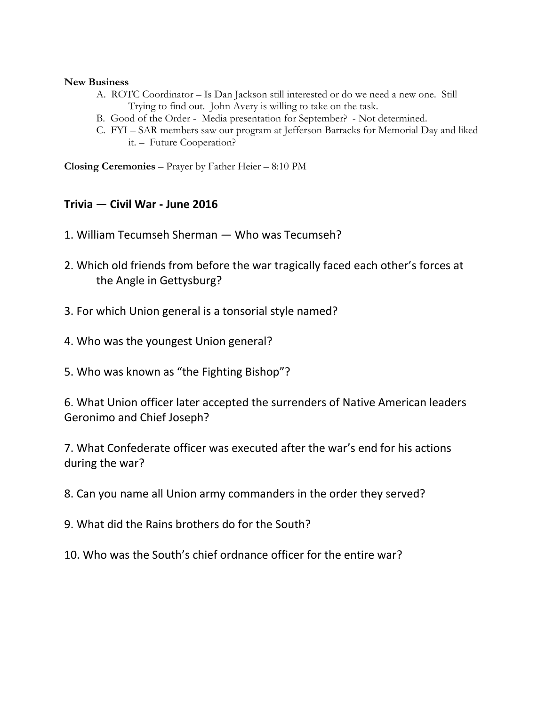## **New Business**

- A. ROTC Coordinator Is Dan Jackson still interested or do we need a new one. Still Trying to find out. John Avery is willing to take on the task.
- B. Good of the Order Media presentation for September? Not determined.
- C. FYI SAR members saw our program at Jefferson Barracks for Memorial Day and liked it. – Future Cooperation?

**Closing Ceremonies** – Prayer by Father Heier – 8:10 PM

## **Trivia — Civil War - June 2016**

- 1. William Tecumseh Sherman Who was Tecumseh?
- 2. Which old friends from before the war tragically faced each other's forces at the Angle in Gettysburg?
- 3. For which Union general is a tonsorial style named?
- 4. Who was the youngest Union general?
- 5. Who was known as "the Fighting Bishop"?

6. What Union officer later accepted the surrenders of Native American leaders Geronimo and Chief Joseph?

7. What Confederate officer was executed after the war's end for his actions during the war?

- 8. Can you name all Union army commanders in the order they served?
- 9. What did the Rains brothers do for the South?
- 10. Who was the South's chief ordnance officer for the entire war?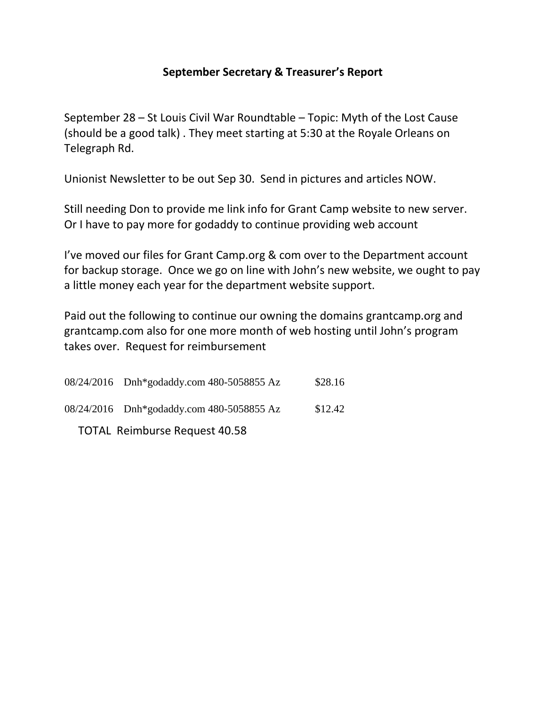# **September Secretary & Treasurer's Report**

September 28 – St Louis Civil War Roundtable – Topic: Myth of the Lost Cause (should be a good talk) . They meet starting at 5:30 at the Royale Orleans on Telegraph Rd.

Unionist Newsletter to be out Sep 30. Send in pictures and articles NOW.

Still needing Don to provide me link info for Grant Camp website to new server. Or I have to pay more for godaddy to continue providing web account

I've moved our files for Grant Camp.org & com over to the Department account for backup storage. Once we go on line with John's new website, we ought to pay a little money each year for the department website support.

Paid out the following to continue our owning the domains grantcamp.org and grantcamp.com also for one more month of web hosting until John's program takes over. Request for reimbursement

| 08/24/2016 Dnh*godaddy.com 480-5058855 Az | \$28.16 |
|-------------------------------------------|---------|
| 08/24/2016 Dnh*godaddy.com 480-5058855 Az | \$12.42 |

TOTAL Reimburse Request 40.58